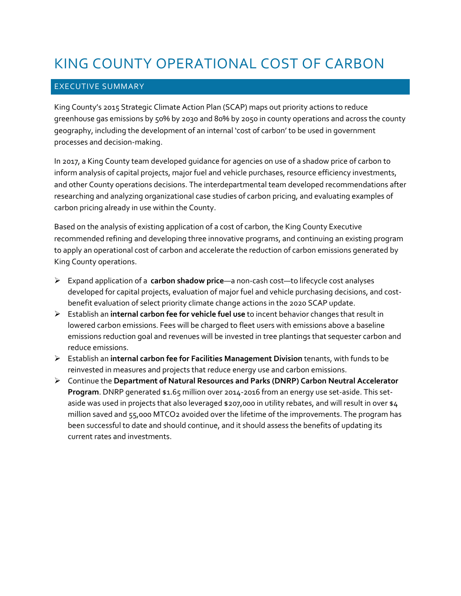# KING COUNTY OPERATIONAL COST OF CARBON

## EXECUTIVE SUMMARY

King County's 2015 Strategic Climate Action Plan (SCAP) maps out priority actions to reduce greenhouse gas emissions by 50% by 2030 and 80% by 2050 in county operations and across the county geography, including the development of an internal 'cost of carbon' to be used in government processes and decision-making.

In 2017, a King County team developed guidance for agencies on use of a shadow price of carbon to inform analysis of capital projects, major fuel and vehicle purchases, resource efficiency investments, and other County operations decisions. The interdepartmental team developed recommendations after researching and analyzing organizational case studies of carbon pricing, and evaluating examples of carbon pricing already in use within the County.

Based on the analysis of existing application of a cost of carbon, the King County Executive recommended refining and developing three innovative programs, and continuing an existing program to apply an operational cost of carbon and accelerate the reduction of carbon emissions generated by King County operations.

- Expand application of a **carbon shadow price**—a non-cash cost—to lifecycle cost analyses developed for capital projects, evaluation of major fuel and vehicle purchasing decisions, and costbenefit evaluation of select priority climate change actions in the 2020 SCAP update.
- Establish an **internal carbon fee for vehicle fuel use** to incent behavior changes that result in lowered carbon emissions. Fees will be charged to fleet users with emissions above a baseline emissions reduction goal and revenues will be invested in tree plantings that sequester carbon and reduce emissions.
- Establish an **internal carbon fee for Facilities Management Division** tenants, with funds to be reinvested in measures and projects that reduce energy use and carbon emissions.
- Continue the **Department of Natural Resources and Parks (DNRP) Carbon Neutral Accelerator Program**. DNRP generated \$1.65 million over 2014-2016 from an energy use set-aside. This setaside was used in projects that also leveraged \$207,000 in utility rebates, and will result in over \$4 million saved and 55,000 MTCO2 avoided over the lifetime of the improvements. The program has been successful to date and should continue, and it should assess the benefits of updating its current rates and investments.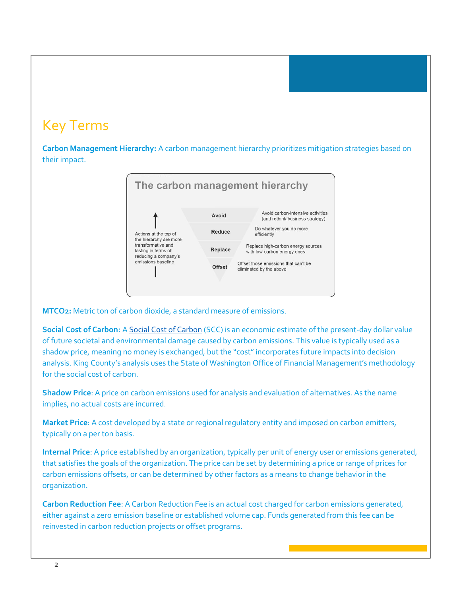## Key Terms

**Carbon Management Hierarchy:** A carbon management hierarchy prioritizes mitigation strategies based on their impact.



**MTCO2:** Metric ton of carbon dioxide, a standard measure of emissions.

**Social Cost of Carbon:** [A Social Cost of Carbon](http://www.commerce.wa.gov/wp-content/uploads/2015/11/Energy-EV-Planning-Social-Cost-of-Carbon-Sept-2014.pdf) (SCC) is an economic estimate of the present-day dollar value of future societal and environmental damage caused by carbon emissions. This value is typically used as a shadow price, meaning no money is exchanged, but the "cost" incorporates future impacts into decision analysis. King County's analysis uses the State of Washington Office of Financial Management's methodology for the social cost of carbon.

**Shadow Price**: A price on carbon emissions used for analysis and evaluation of alternatives. As the name implies, no actual costs are incurred.

**Market Price**: A cost developed by a state or regional regulatory entity and imposed on carbon emitters, typically on a per ton basis.

**Internal Price**: A price established by an organization, typically per unit of energy user or emissions generated, that satisfies the goals of the organization. The price can be set by determining a price or range of prices for carbon emissions offsets, or can be determined by other factors as a means to change behavior in the organization.

**Carbon Reduction Fee**: A Carbon Reduction Fee is an actual cost charged for carbon emissions generated, either against a zero emission baseline or established volume cap. Funds generated from this fee can be reinvested in carbon reduction projects or offset programs.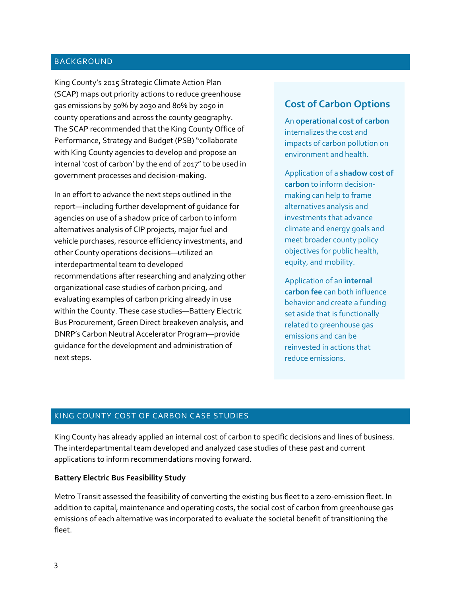#### BACKGROUND

King County's 2015 Strategic Climate Action Plan (SCAP) maps out priority actions to reduce greenhouse gas emissions by 50% by 2030 and 80% by 2050 in county operations and across the county geography. The SCAP recommended that the King County Office of Performance, Strategy and Budget (PSB) "collaborate with King County agencies to develop and propose an internal 'cost of carbon' by the end of 2017" to be used in government processes and decision-making.

In an effort to advance the next steps outlined in the report—including further development of guidance for agencies on use of a shadow price of carbon to inform alternatives analysis of CIP projects, major fuel and vehicle purchases, resource efficiency investments, and other County operations decisions—utilized an interdepartmental team to developed recommendations after researching and analyzing other organizational case studies of carbon pricing, and evaluating examples of carbon pricing already in use within the County. These case studies—Battery Electric Bus Procurement, Green Direct breakeven analysis, and DNRP's Carbon Neutral Accelerator Program—provide guidance for the development and administration of next steps.

## **Cost of Carbon Options**

An **operational cost of carbon** internalizes the cost and impacts of carbon pollution on environment and health.

Application of a **shadow cost of carbon** to inform decisionmaking can help to frame alternatives analysis and investments that advance climate and energy goals and meet broader county policy objectives for public health, equity, and mobility.

Application of an **internal carbon fee** can both influence behavior and create a funding set aside that is functionally related to greenhouse gas emissions and can be reinvested in actions that reduce emissions.

#### KING COUNTY COST OF CARBON CASE STUDIES

King County has already applied an internal cost of carbon to specific decisions and lines of business. The interdepartmental team developed and analyzed case studies of these past and current applications to inform recommendations moving forward.

#### **Battery Electric Bus Feasibility Study**

Metro Transit assessed the feasibility of converting the existing bus fleet to a zero-emission fleet. In addition to capital, maintenance and operating costs, the social cost of carbon from greenhouse gas emissions of each alternative was incorporated to evaluate the societal benefit of transitioning the fleet.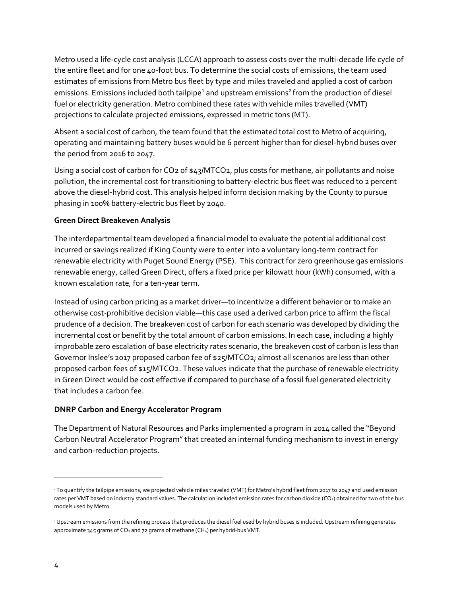Metro used a life-cycle cost analysis (LCCA) approach to assess costs over the multi-decade life cycle of the entire fleet and for one 40-foot bus. To determine the social costs of emissions, the team used estimates of emissions from Metro bus fleet by type and miles traveled and applied a cost of carbon emissions. Emissions included both tailpipe<sup>1</sup> and upstream emissions<sup>2</sup> from the production of diesel fuel or electricity generation. Metro combined these rates with vehicle miles travelled (VMT) projections to calculate projected emissions, expressed in metric tons (MT).

Absent a social cost of carbon, the team found that the estimated total cost to Metro of acquiring, operating and maintaining battery buses would be 6 percent higher than for diesel-hybrid buses over the period from 2016 to 2047.

Using a social cost of carbon for CO<sub>2</sub> of \$43/MTCO<sub>2</sub>, plus costs for methane, air pollutants and noise pollution, the incremental cost for transitioning to battery-electric bus fleet was reduced to 2 percent above the diesel-hybrid cost. This analysis helped inform decision making by the County to pursue phasing in 100% battery-electric bus fleet by 2040.

#### **Green Direct Breakeven Analysis**

The interdepartmental team developed a financial model to evaluate the potential additional cost incurred or savings realized if King County were to enter into a voluntary long-term contract for renewable electricity with Puget Sound Energy (PSE). This contract for zero greenhouse gas emissions renewable energy, called Green Direct, offers a fixed price per kilowatt hour (kWh) consumed, with a known escalation rate, for a ten-year term.

Instead of using carbon pricing as a market driver—to incentivize a different behavior or to make an otherwise cost-prohibitive decision viable—this case used a derived carbon price to affirm the fiscal prudence of a decision. The breakeven cost of carbon for each scenario was developed by dividing the incremental cost or benefit by the total amount of carbon emissions. In each case, including a highly improbable zero escalation of base electricity rates scenario, the breakeven cost of carbon is less than Governor Inslee's 2017 proposed carbon fee of \$25/MTCO2; almost all scenarios are less than other proposed carbon fees of \$15/MTCO2. These values indicate that the purchase of renewable electricity in Green Direct would be cost effective if compared to purchase of a fossil fuel generated electricity that includes a carbon fee.

## **DNRP Carbon and Energy Accelerator Program**

The Department of Natural Resources and Parks implemented a program in 2014 called the "Beyond Carbon Neutral Accelerator Program"that created an internal funding mechanism to invest in energy and carbon-reduction projects.

 $\overline{a}$ 

<sup>&</sup>lt;sup>1</sup> To quantify the tailpipe emissions, we projected vehicle miles traveled (VMT) for Metro's hybrid fleet from 2017 to 2047 and used emission rates per VMT based on industry standard values. The calculation included emission rates for carbon dioxide (CO<sub>2</sub>) obtained for two of the bus models used by Metro.

<sup>&</sup>lt;sup>2</sup> Upstream emissions from the refining process that produces the diesel fuel used by hybrid buses is included. Upstream refining generates approximate 345 grams of  $CO<sub>2</sub>$  and 72 grams of methane (CH<sub>4</sub>) per hybrid-bus VMT.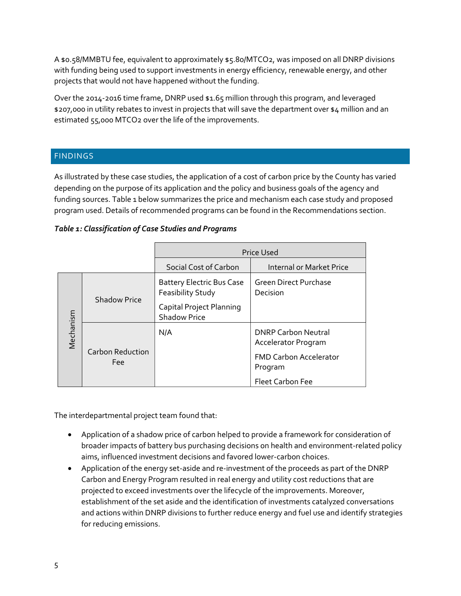A \$0.58/MMBTU fee, equivalent to approximately \$5.80/MTCO2, was imposed on all DNRP divisions with funding being used to support investments in energy efficiency, renewable energy, and other projects that would not have happened without the funding.

Over the 2014-2016 time frame, DNRP used \$1.65 million through this program, and leveraged \$207,000 in utility rebates to invest in projects that will save the department over \$4 million and an estimated 55,000 MTCO2 over the life of the improvements.

## FINDINGS

As illustrated by these case studies, the application of a cost of carbon price by the County has varied depending on the purpose of its application and the policy and business goals of the agency and funding sources. Table 1 below summarizes the price and mechanism each case study and proposed program used. Details of recommended programs can be found in the Recommendations section.

| Social Cost of Carbon                                                                                                                                       | <b>Price Used</b>               |  |
|-------------------------------------------------------------------------------------------------------------------------------------------------------------|---------------------------------|--|
|                                                                                                                                                             | <b>Internal or Market Price</b> |  |
| <b>Green Direct Purchase</b><br><b>Battery Electric Bus Case</b><br>Feasibility Study<br>Decision<br><b>Shadow Price</b><br><b>Capital Project Planning</b> |                                 |  |
| Mechanism<br><b>Shadow Price</b><br><b>DNRP Carbon Neutral</b><br>N/A                                                                                       |                                 |  |
| Accelerator Program<br><b>Carbon Reduction</b><br><b>FMD Carbon Accelerator</b><br><b>Fee</b><br>Program<br><b>Fleet Carbon Fee</b>                         |                                 |  |

#### *Table 1: Classification of Case Studies and Programs*

The interdepartmental project team found that:

- Application of a shadow price of carbon helped to provide a framework for consideration of broader impacts of battery bus purchasing decisions on health and environment-related policy aims, influenced investment decisions and favored lower-carbon choices.
- Application of the energy set-aside and re-investment of the proceeds as part of the DNRP Carbon and Energy Program resulted in real energy and utility cost reductions that are projected to exceed investments over the lifecycle of the improvements. Moreover, establishment of the set aside and the identification of investments catalyzed conversations and actions within DNRP divisions to further reduce energy and fuel use and identify strategies for reducing emissions.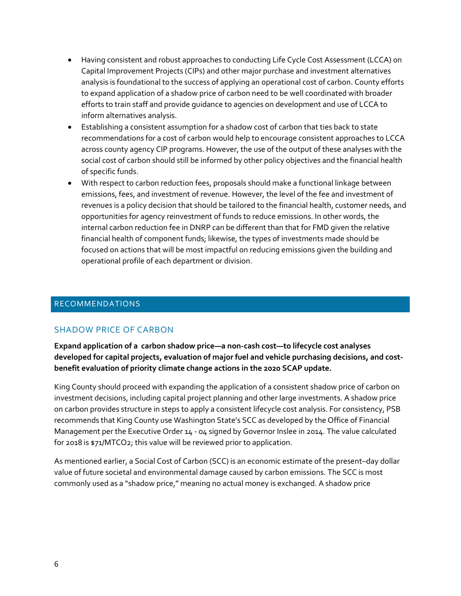- Having consistent and robust approaches to conducting Life Cycle Cost Assessment (LCCA) on Capital Improvement Projects (CIPs) and other major purchase and investment alternatives analysis is foundational to the success of applying an operational cost of carbon. County efforts to expand application of a shadow price of carbon need to be well coordinated with broader efforts to train staff and provide guidance to agencies on development and use of LCCA to inform alternatives analysis.
- Establishing a consistent assumption for a shadow cost of carbon that ties back to state recommendations for a cost of carbon would help to encourage consistent approaches to LCCA across county agency CIP programs. However, the use of the output of these analyses with the social cost of carbon should still be informed by other policy objectives and the financial health of specific funds.
- With respect to carbon reduction fees, proposals should make a functional linkage between emissions, fees, and investment of revenue. However, the level of the fee and investment of revenues is a policy decision that should be tailored to the financial health, customer needs, and opportunities for agency reinvestment of funds to reduce emissions. In other words, the internal carbon reduction fee in DNRP can be different than that for FMD given the relative financial health of component funds; likewise, the types of investments made should be focused on actions that will be most impactful on reducing emissions given the building and operational profile of each department or division.

#### RECOMMENDATIONS

## SHADOW PRICE OF CARBON

**Expand application of a carbon shadow price—a non-cash cost—to lifecycle cost analyses developed for capital projects, evaluation of major fuel and vehicle purchasing decisions, and costbenefit evaluation of priority climate change actions in the 2020 SCAP update.** 

King County should proceed with expanding the application of a consistent shadow price of carbon on investment decisions, including capital project planning and other large investments. A shadow price on carbon provides structure in steps to apply a consistent lifecycle cost analysis. For consistency, PSB recommends that King County use Washington State's SCC as developed by the Office of Financial Management per the Executive Order 14 - 04 signed by Governor Inslee in 2014. The value calculated for 2018 is \$71/MTCO2; this value will be reviewed prior to application.

As mentioned earlier, a Social Cost of Carbon (SCC) is an economic estimate of the present–day dollar value of future societal and environmental damage caused by carbon emissions. The SCC is most commonly used as a "shadow price," meaning no actual money is exchanged. A shadow price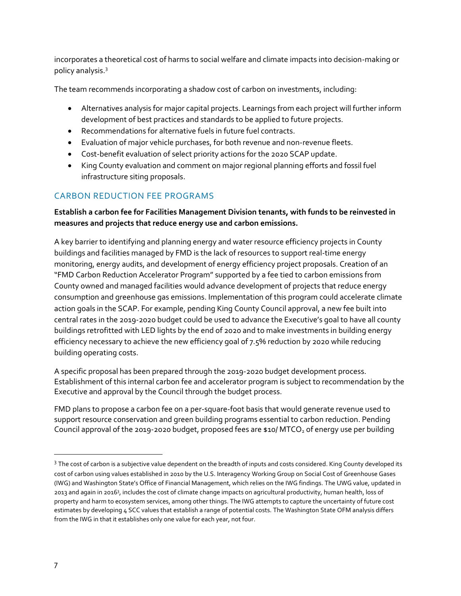incorporates a theoretical cost of harms to social welfare and climate impacts into decision-making or policy analysis. 3

The team recommends incorporating a shadow cost of carbon on investments, including:

- Alternatives analysis for major capital projects. Learnings from each project will further inform development of best practices and standards to be applied to future projects.
- Recommendations for alternative fuels in future fuel contracts.
- Evaluation of major vehicle purchases, for both revenue and non-revenue fleets.
- Cost-benefit evaluation of select priority actions for the 2020 SCAP update.
- King County evaluation and comment on major regional planning efforts and fossil fuel infrastructure siting proposals.

## CARBON REDUCTION FEE PROGRAMS

## **Establish a carbon fee for Facilities Management Division tenants, with funds to be reinvested in measures and projects that reduce energy use and carbon emissions.**

A key barrier to identifying and planning energy and water resource efficiency projects in County buildings and facilities managed by FMD is the lack of resources to support real-time energy monitoring, energy audits, and development of energy efficiency project proposals. Creation of an "FMD Carbon Reduction Accelerator Program" supported by a fee tied to carbon emissions from County owned and managed facilities would advance development of projects that reduce energy consumption and greenhouse gas emissions. Implementation of this program could accelerate climate action goals in the SCAP. For example, pending King County Council approval, a new fee built into central rates in the 2019-2020 budget could be used to advance the Executive's goal to have all county buildings retrofitted with LED lights by the end of 2020 and to make investments in building energy efficiency necessary to achieve the new efficiency goal of 7.5% reduction by 2020 while reducing building operating costs.

A specific proposal has been prepared through the 2019-2020 budget development process. Establishment of this internal carbon fee and accelerator program is subject to recommendation by the Executive and approval by the Council through the budget process.

FMD plans to propose a carbon fee on a per-square-foot basis that would generate revenue used to support resource conservation and green building programs essential to carbon reduction. Pending Council approval of the 2019-2020 budget, proposed fees are \$10/ MTCO<sub>2</sub> of energy use per building

<sup>&</sup>lt;sup>3</sup> The cost of carbon is a subjective value dependent on the breadth of inputs and costs considered. King County developed its cost of carbon using values established in 2010 by the U.S. Interagency Working Group on Social Cost of Greenhouse Gases (IWG) and Washington State's Office of Financial Management, which relies on the IWG findings. The UWG value, updated in 2013 and again in 2016<sup>3</sup> , includes the cost of climate change impacts on agricultural productivity, human health, loss of property and harm to ecosystem services, among other things. The IWG attempts to capture the uncertainty of future cost estimates by developing 4 SCC values that establish a range of potential costs. The Washington State OFM analysis differs from the IWG in that it establishes only one value for each year, not four.